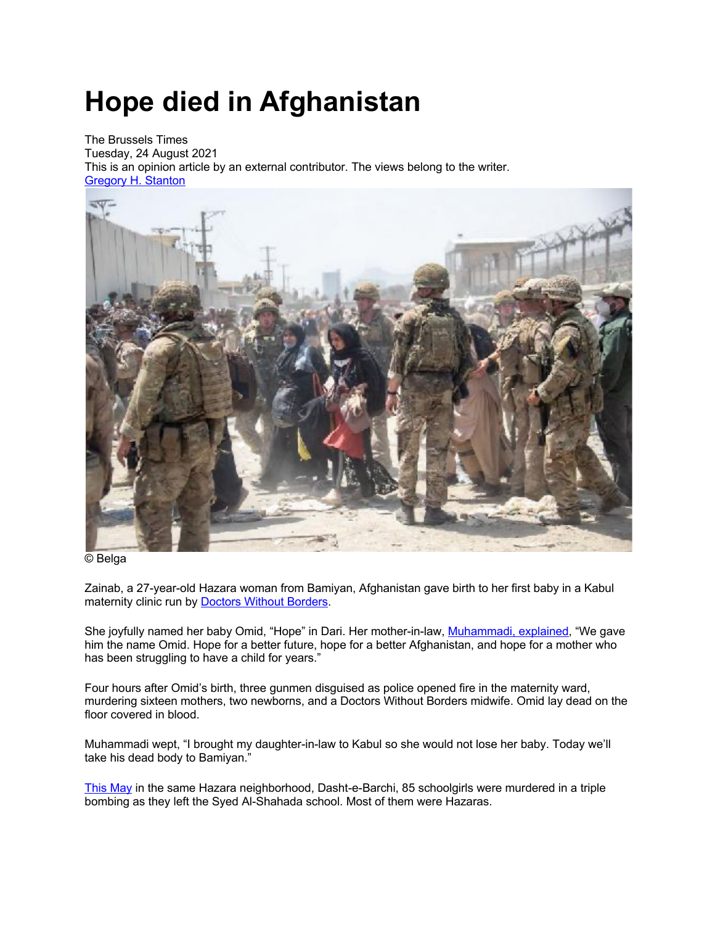## **Hope died in Afghanistan**

The Brussels Times Tuesday, 24 August 2021 This is an opinion article by an external contributor. The views belong to the writer. Gregory H. Stanton



© Belga

Zainab, a 27-year-old Hazara woman from Bamiyan, Afghanistan gave birth to her first baby in a Kabul maternity clinic run by **Doctors Without Borders**.

She joyfully named her baby Omid, "Hope" in Dari. Her mother-in-law, Muhammadi, explained, "We gave him the name Omid. Hope for a better future, hope for a better Afghanistan, and hope for a mother who has been struggling to have a child for years."

Four hours after Omid's birth, three gunmen disguised as police opened fire in the maternity ward, murdering sixteen mothers, two newborns, and a Doctors Without Borders midwife. Omid lay dead on the floor covered in blood.

Muhammadi wept, "I brought my daughter-in-law to Kabul so she would not lose her baby. Today we'll take his dead body to Bamiyan."

This May in the same Hazara neighborhood, Dasht-e-Barchi, 85 schoolgirls were murdered in a triple bombing as they left the Syed Al-Shahada school. Most of them were Hazaras.